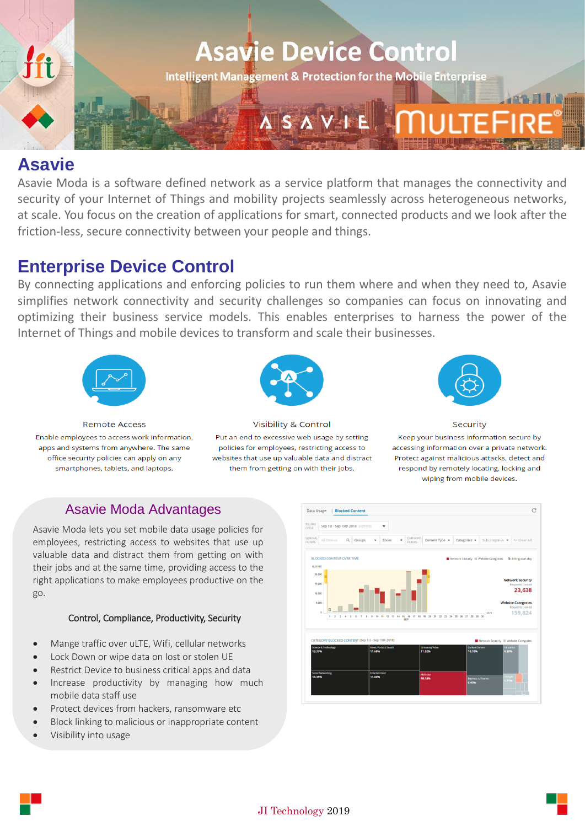

**Intelligent Management & Protection for the Mobile Enterprise** 

# **Asavie**

Asavie Moda is a software defined network as a service platform that manages the connectivity and security of your Internet of Things and mobility projects seamlessly across heterogeneous networks, at scale. You focus on the creation of applications for smart, connected products and we look after the friction-less, secure connectivity between your people and things.

## **Enterprise Device Control**

By connecting applications and enforcing policies to run them where and when they need to, Asavie simplifies network connectivity and security challenges so companies can focus on innovating and optimizing their business service models. This enables enterprises to harness the power of the Internet of Things and mobile devices to transform and scale their businesses.



Enable employees to access work information, apps and systems from anywhere. The same office security policies can apply on any smartphones, tablets, and laptops.

**Remote Access** 



**Visibility & Control** Put an end to excessive web usage by setting policies for employees, restricting access to websites that use up valuable data and distract them from getting on with their jobs.



Security Keep your business information secure by accessing information over a private network. Protect against malicious attacks, detect and respond by remotely locating, locking and wiping from mobile devices.

### Asavie Moda Advantages

Asavie Moda lets you set mobile data usage policies for employees, restricting access to websites that use up valuable data and distract them from getting on with their jobs and at the same time, providing access to the right applications to make employees productive on the go.

#### Control, Compliance, Productivity, Security

- Mange traffic over uLTE, Wifi, cellular networks
- Lock Down or wipe data on lost or stolen UE
- Restrict Device to business critical apps and data
- Increase productivity by managing how much mobile data staff use
- Protect devices from hackers, ransomware etc
- Block linking to malicious or inappropriate content
- Visibility into usage